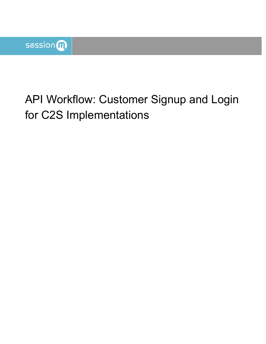# API Workflow: Customer Signup and Login for C2S Implementations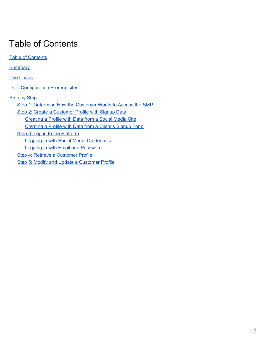## <span id="page-1-0"></span>Table of Contents

**Table of [Contents](#page-1-0) [Summary](#page-2-0)** Use [Cases](#page-2-1) **Data [Configuration](#page-2-2) Prerequisites [Step](#page-2-3) by Step** Step 1: [Determine](#page-4-0) How the Customer Wants to Access the SMP Step 2: Create a [Customer](#page-4-1) Profile with Signup Data [Creating](#page-4-2) a Profile with Data from a Social Media Site [Creating](#page-4-3) a Profile with Data from a Client's Signup Form Step 3: Log in to the [Platform](#page-6-0) Logging in with Social Media [Credentials](#page-6-1) Logging in with Email and [Password](#page-6-2) Step 4: Retrieve a [Customer](#page-7-0) Profile Step 5: Modify and Update a [Customer](#page-9-0) Profile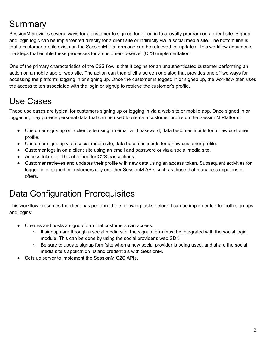## <span id="page-2-0"></span>**Summary**

SessionM provides several ways for a customer to sign up for or log in to a loyalty program on a client site. Signup and login logic can be implemented directly for a client site or indirectly via a social media site. The bottom line is that a customer profile exists on the SessionM Platform and can be retrieved for updates. This workflow documents the steps that enable these processes for a customer-to-server (C2S) implementation.

One of the primary characteristics of the C2S flow is that it begins for an unauthenticated customer performing an action on a mobile app or web site. The action can then elicit a screen or dialog that provides one of two ways for accessing the platform: logging in or signing up. Once the customer is logged in or signed up, the workflow then uses the access token associated with the login or signup to retrieve the customer's profile.

## <span id="page-2-1"></span>Use Cases

These use cases are typical for customers signing up or logging in via a web site or mobile app. Once signed in or logged in, they provide personal data that can be used to create a customer profile on the SessionM Platform:

- Customer signs up on a client site using an email and password; data becomes inputs for a new customer profile.
- Customer signs up via a social media site; data becomes inputs for a new customer profile.
- Customer logs in on a client site using an email and password or via a social media site.
- Access token or ID is obtained for C2S transactions.
- Customer retrieves and updates their profile with new data using an access token. Subsequent activities for logged in or signed in customers rely on other SessionM APIs such as those that manage campaigns or offers.

## <span id="page-2-2"></span>Data Configuration Prerequisites

This workflow presumes the client has performed the following tasks before it can be implemented for both sign-ups and logins:

- Creates and hosts a signup form that customers can access.
	- $\circ$  If signups are through a social media site, the signup form must be integrated with the social login module. This can be done by using the social provider's web SDK.
	- Be sure to update signup form/site when a new social provider is being used, and share the social media site's application ID and credentials with SessionM.
- <span id="page-2-3"></span>Sets up server to implement the SessionM C2S APIs.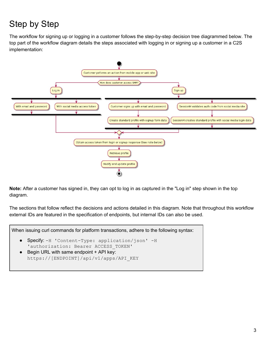## Step by Step

The workflow for signing up or logging in a customer follows the step-by-step decision tree diagrammed below. The top part of the workflow diagram details the steps associated with logging in or signing up a customer in a C2S implementation:



**Note:** After a customer has signed in, they can opt to log in as captured in the "Log in" step shown in the top diagram.

The sections that follow reflect the decisions and actions detailed in this diagram. Note that throughout this workflow external IDs are featured in the specification of endpoints, but internal IDs can also be used.

When issuing curl commands for platform transactions, adhere to the following syntax:

- Specify: -H 'Content-Type: application/json' -H 'authorization: Bearer ACCESS TOKEN'
- Begin URL with same endpoint + API key: https://[ENDPOINT]/api/v1/apps/API\_KEY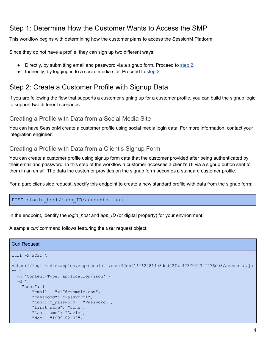### <span id="page-4-0"></span>Step 1: Determine How the Customer Wants to Access the SMP

This workflow begins with determining how the customer plans to access the SessionM Platform.

Since they do not have a profile, they can sign up two different ways:

- Directly, by submitting email and password via a signup form. Proceed to [step](#page-4-1) 2.
- Indirectly, by logging in to a social media site. Proceed to [step](#page-6-0) 3.

### <span id="page-4-1"></span>Step 2: Create a Customer Profile with Signup Data

If you are following the flow that supports a customer signing up for a customer profile, you can build the signup logic to support two different scenarios.

#### <span id="page-4-2"></span>Creating a Profile with Data from a Social Media Site

You can have SessionM create a customer profile using social media login data. For more information, contact your integration engineer.

#### <span id="page-4-3"></span>Creating a Profile with Data from a Client's Signup Form

You can create a customer profile using signup form data that the customer provided after being authenticated by their email and password. In this step of the workflow a customer accesses a client's UI via a signup button sent to them in an email. The data the customer provides on the signup form becomes a standard customer profile.

For a pure client-side request, specify this endpoint to create a new standard profile with data from the signup form:

POST : login host/:app ID/accounts.json

In the endpoint, identify the *login\_host* and *app\_ID* (or digital property) for your environment.

A sample *curl* command follows featuring the *user* request object:

#### Curl Request

```
curl -X POST \
https://login-sdkexamples.stg-sessionm.com/92db916f622814e3ded22faa47370f030f476dc3/accounts.js
on \
 -H 'Content-Type: application/json' \
 -d '{
    "user": {
        "email": "z17@example.com",
        "password": "Password1",
        "confirm_password": "Password1",
        "first name": "John",
        "last_name": "Davis",
        "dob": "1999-02-02",
```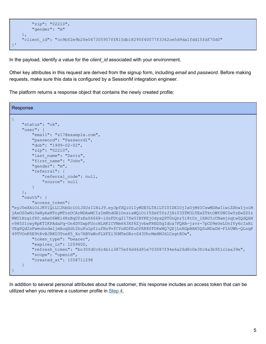```
"zip": "02210",
        "gender": "m"
   },
   "client_id": "cc9bf2e9b2fe047305957ff815db18295f40077f3362ce5d9da1fdd15fdf70d0"
}'
```
In the payload, identify a value for the *client\_id* associated with your environment.

Other key attributes in this request are derived from the signup form, including *email* and *password*. Before making requests, make sure this data is configured by a SessionM integration engineer.

The platform returns a response object that contains the newly created profile:

```
Response
{
    "status": "ok",
    "user": {
        "email": "z17@example.com",
        "password": "Password1",
        "dob": "1999-02-02",
        "zip": "02210",
        "last name": "Davis",
        "first_name": "John",
        "gender": "m",
        "referral": {
            "referral_code": null,
            "source": null
        }
    },
    "oauth": {
        "access_token":
"eyJ0eXAiOiJKV1QiLCJhbGciOiJSUzI1NiJ9.eyJpYXQiOiIyMDE5LTA1LTI0IDE1OjIxOjM4ICswMDAwIiwiZXhwIjoiM
jAxOS0wNi0wNyAxNToyMTozOCArMDAwMCIsImRhdGEiOnsiaWQiOiI5ZmY5YzJjNi03ZTM3LTExZTktOWY0NC0wYzEwZDIz
NWU1NzgifX0.mAeU6WEi4RzBqUfzEx66668-iSsFDtg217Sw5IBYKEjOdyaQ9T0nQnr5i8tCn_1XAUIcCNamjnqtwZQdQkN
v9H5S1cwyRpKTIKPAdaFq-On4DVZwpFUccHLHK1CVNm643Xf6ZjvbwFRNDSgIdca7FQHA-jzvr-7pCD9e0eLUnIVy6cIxHi
VEgPQd2sFwmuhndwljmAuqSdt2huPu1pfiufNz9vfCYuHDfEuGfRR8fFD6wNQ7QXjLnRGpBAN5QSuNDaDH-F1hUWh-QLnqP
49TVOnK6E9tRvBJRKU3Tne85_Xo7ABVxWcFLXFZl3OMTeGRrcS43UhrMeHMJdlCsgtEOw",
        "token type": "bearer",
        "expires_in": 1209600,
        "refresh_token": "bc30fd0c6c4b1c3875ef4d46d91e703087f94e6a26d8c0e3fc4a3b951c1ea39e",
        "scope": "openid",
        "created_at": 1558711298
    }
}
```
In addition to several personal attributes about the customer, this response includes an access token that can be utilized when you retrieve a customer profile in [Step](#page-7-0) 4.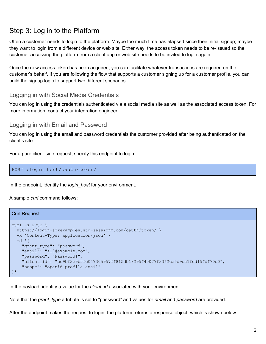### <span id="page-6-0"></span>Step 3: Log in to the Platform

Often a customer needs to login to the platform. Maybe too much time has elapsed since their initial signup; maybe they want to login from a different device or web site. Either way, the access token needs to be re-issued so the customer accessing the platform from a client app or web site needs to be invited to login again.

Once the new access token has been acquired, you can facilitate whatever transactions are required on the customer's behalf. If you are following the flow that supports a customer signing up for a customer profile, you can build the signup logic to support two different scenarios.

#### <span id="page-6-1"></span>Logging in with Social Media Credentials

You can log in using the credentials authenticated via a social media site as well as the associated access token. For more information, contact your integration engineer.

#### <span id="page-6-2"></span>Logging in with Email and Password

You can log in using the email and password credentials the customer provided after being authenticated on the client's site.

For a pure client-side request, specify this endpoint to login:

```
POST :login_host/oauth/token/
```
In the endpoint, identify the *login\_host* for your environment.

A sample *curl* command follows:

#### Curl Request

```
curl -X POST \
 https://login-sdkexamples.stg-sessionm.com/oauth/token/ \
 -H 'Content-Type: application/json' \
  -d '{
    "grant type": "password",
    "email": "z17@example.com",
    "password": "Password1",
    "client_id": "cc9bf2e9b2fe047305957ff815db18295f40077f3362ce5d9da1fdd15fdf70d0",
    "scope": "openid profile email"
}'
```
In the payload, identify a value for the *client\_id* associated with your environment.

Note that the *grant\_type* attribute is set to "password" and values for *email* and *password* are provided.

After the endpoint makes the request to login, the platform returns a response object, which is shown below: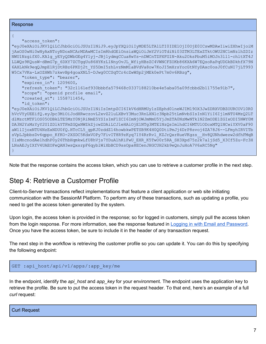Response

```
"access token":
```
"eyJ0eXAiOiJKV1QiLCJhbGciOiJSUzI1NiJ9.eyJpYXQiOiIyMDE5LTA1LTI0IDE1OjI0OjE0ICswMDAwIiwiZXhwIjoiM jAxOS0wNi0wNyAxNToyNDoxNCArMDAwMCIsImRhdGEiOnsiaWQiOiJmY2ViOTdiNi03ZTM3LTExZTktOWU2NC1mNzlhZDIz NWU1NzgifX0.KA1g yEYyQDWbGEg4Y1yj-JBj1ydmgCCua8wYs-nDWCnTZPXFG1N-Aku2OksPbuM5iMOJn3ll1-chltXT4J LLWQs9KQusW-dBmG7p 6DXY7ZCTggUu86HYKzL1NnyOvJL WfiyHBsZC4VWNCFZOKb86KXA6W7EQsoRaPqUDGkBDkhfX79N 6AXLkNk9eqQJmpE1RjDtRBz6PKDj2t YS5DmI5zhLvzNmM1aBVdVa8ow7KoJI5mXrsYocGtNYyDAxc0osJ0fCuNI7jLT993 W5Cx7VKa-LxOZHWh7zkwvBp4goaXNL5-DJwq0CCSqTCr4cZwWSp2jMEk0ePt7m0v6RBzq",

```
"token type": "bearer",
    "expires in": 1209600,
    "refresh token": "32c1161ef930bbbfa579468c0337188210be4e5aba05a09fcbbd2b11755e91b7",
    "scope": "openid profile email",
    "created at": 1558711454,
    "id token":
"eyJ0eXAiOiJKV1QiLCJhbGciOiJSUzI1NiIsImtpZCI6IkV6dHRMUy1zZEphd0lneWJIM19OX3JwZDRXVDBZOURCOV10R0
hVcVYyUEEifQ.eyJpc3MiOiJodHRwczovL2xvZ2luLXBvY3Muc3RnLXNlc3Npb25tLmNvbSIsInN1YiI6IjlmNTU4MzQ2LT
dlMzctMTFlOS05ODBkLTE5MzY0NjRiNmE5YSIsImFlZCI6ImNjOWJmMmU5YjJmZTA0NzMwNTk1N2ZmODE1ZGIxODI5NWY0M
DA3N2YzMzYyY2U1ZDlkYTFmZGQxNWZkZjcwZDAiLCJleHAiOjE1NTg3MTE1NzQsImlhdCI6MTU1ODcxMTQ1NCwiYXV0aF90
aW1lIjoxNTU4NzExNDU0fQ.HTcCL5 qpKJ0zddZ14howbkwPETSB9K4H0Q0DtiPmJj4DrP8svoj4ZA78J6--LFmyhIRVITb
sVpLJpbbsDv6qppo KfKO-2XSDC5KdxVOPy7FivIT8R9zKyq71Y4RrRvl KZJrQxrHueVKgzs Hv8QUNhdwezw2dfhFMqB
IlxMncnodAelhdhP0y26ThbHqmkwLfU8hVjs7YDuAlhKiFwU EXR K5TwO0r5RA SH3Xpd75z2k7aljSd5 X3Cf5Zu-Fc3H
LNSAEJyIXfV4UAEOFeQAN3wsQxsrpF6qyblWiXbBCD9ssOpa8ECenJHGCUH2kb9eQnJuHoA7V6xRC5Ng"
```
<span id="page-7-0"></span>Note that the response contains the access token, which you can use to retrieve a customer profile in the next step.

### Step 4: Retrieve a Customer Profile

Client-to-Server transactions reflect implementations that feature a client application or web site initiating communication with the SessionM Platform. To perform any of these transactions, such as updating a profile, you need to get the access token generated by the system.

Upon login, the access token is provided in the response; so for logged in customers, simply pull the access token from the login response. For more information, see the response featured in Logging in with Email and Password. Once you have the access token, be sure to include it in the header of any transaction request.

The next step in the workflow is retrieving the customer profile so you can update it. You can do this by specifying the following endpoint:

```
GET :api host/api/v1/apps/:app key/me
```
In the endpoint, identify the api host and app key for your environment. The endpoint uses the application key to retrieve the profile. Be sure to put the access token in the request header. To that end, here's an example of a full curl request: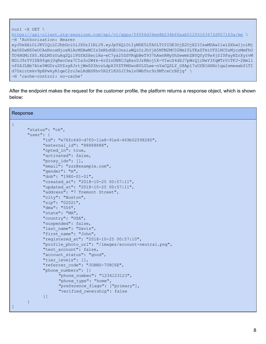| $curl -X GET$                                                                                   |
|-------------------------------------------------------------------------------------------------|
| https://api-client.stq-sessionm.com/api/v1/apps/fff66d34ee8b234bf6aab01293163472d957163a/me     |
| -H 'Authorization: Bearer                                                                       |
| eyJ0eXAiOiJKV1QiLCJhbGciOiJSUzI1NiJ9.eyJpYXQiOiIyMDE5LTA0LTI0IDE3OjE2OjE2ICswMDAwIiwiZXhwIjoiMj |
| AxOSOwNSOwOCAxNzoxNjoxNiArMDAwMCIsImRhdGEiOnsiaWQiOiJhYjA5NTM2MC02NmI0LTExZTktOTZ1NC0zMjczMmFhO |
| TU4NGMifX0.KbLMYzUuAq2Qi1PGfASXeciHa-eC7ya25DSVRqbBeT937hAwnRMyUhSwwmhZBYQYyU9x4jSI0FayHZrXyrvM |
| NDlJ9rYVIZB9fqmjUqRwcOsa7CIa3o2W4k-6rZ1nUNRCJq8xz0JrRBojtX-VIwcS4dZJ7pWrQjiNeY3fqWTr01TFJ-2Hmll |
| vfG4JLBb7Ate5WGUruDYZzg8JrtjWm0S3hvzLdpX3YZTPMSwoBYLULwe-nYaCQSLY G8Ap17uUfB1HXNr1qa2smewabf1TI |
| d7Uxictmkv9pBPwkyR1qeC2ro3eLRdBS8hv5R2f1KS0JI9x1n0WbTnr9z9MTceCrBSjq'                           |
| -H 'cache-control: no-cache'                                                                    |
|                                                                                                 |

After the endpoint makes the request for the customer profile, the platform returns a response object, which is shown below:

| Response                                                |  |
|---------------------------------------------------------|--|
| $\mathcal{A}$                                           |  |
| "status": "ok",                                         |  |
| "user": $\{$                                            |  |
| "id": "e76fc440-d7f0-11e8-91e4-469b02598280",           |  |
| "external id": "88888888",                              |  |
| "opted in": true,                                       |  |
| "activated": false,                                     |  |
| "proxy ids": [],                                        |  |
| "email": "zzz@example.com",                             |  |
| "gender": "m",                                          |  |
| "dob": "1980-01-01",                                    |  |
| "created at": "2018-10-25 00:57:11",                    |  |
| "updated at": "2018-10-25 00:57:11",                    |  |
| "address": "7 Tremont Street",                          |  |
| "city": "Boston",                                       |  |
| "zip": "02021",                                         |  |
| "dma": "506",                                           |  |
| "state": "MA",                                          |  |
| "country": "USA",                                       |  |
| "suspended": false,                                     |  |
| "last name": "Davis",                                   |  |
| "first name": "John",                                   |  |
| "registered at": "2018-10-25 00:57:10",                 |  |
| "profile photo url": "/images/account-neutral.png",     |  |
| "test account": false,                                  |  |
| "account status": "good",                               |  |
| "tier levels": [],                                      |  |
| "referrer code": "JOHNS-708C6E",<br>"phone numbers": [{ |  |
| "phone number": "1234123123",                           |  |
| "phone type": "home",                                   |  |
| "preference flags": ["primary"],                        |  |
| "verified ownership": false                             |  |
| $\}$ ]                                                  |  |
| $\mathcal{E}$                                           |  |
|                                                         |  |
|                                                         |  |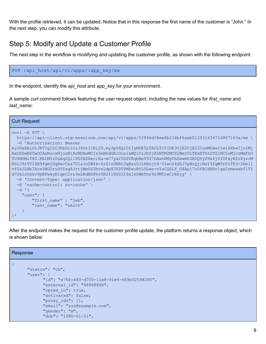With the profile retrieved, it can be updated. Notice that in this response the first name of the customer is "John." In the next step, you can modify this attribute.

### <span id="page-9-0"></span>Step 5: Modify and Update a Customer Profile

The next step in the workflow is modifying and updating the customer profile, as shown with the following endpoint:

PUT :api host/api/v1/apps/:app key/me

In the endpoint, identify the *api\_host* and *app\_key* for your environment.

A sample *curl* command follows featuring the *user* request object, including the new values for *first\_name* and *last\_name*:

| <b>Curl Request</b>                                                                                                                                                                                                                                                                                                                                                                                      |
|----------------------------------------------------------------------------------------------------------------------------------------------------------------------------------------------------------------------------------------------------------------------------------------------------------------------------------------------------------------------------------------------------------|
| $curl -X$ PUT \<br>https://api-client.stq-sessionm.com/api/v1/apps/fff66d34ee8b234bf6aab01293163472d957163a/me \<br>-H 'Authorization: Bearer                                                                                                                                                                                                                                                            |
| eyJ0eXAiOiJKV1QiLCJhbGciOiJSUzI1NiJ9.eyJpYXQiOiIyMDE5LTA0LTI0IDE3OjE2OjE2ICswMDAwIiwiZXhwIjoiMj<br>AxOS0wNS0wOCAxNzoxNjoxNiArMDAwMCIsImRhdGEiOnsiaWQiOiJhYjA5NTM2MC02NmI0LTExZTktOTZ1NC0zMjczMmFhO<br>TU4NGMifX0.KbLMYzUuAq2Qi1PGfASXeciHa-eC7ya25DSVRqbBeT937hAwnRMyUhSwwmhZBYQYyU9x4jSI0FayHZrXyrvM<br>NDlJ9rYVIZB9fgmjUqRwcOsa7CIa3o2W4k-6rZ1nUNRCJq8xz0JrRBojtX-VIwcS4dZJ7pWrQjiNeY3fqWTr01TFJ-2Hmll |
| vfG4JLBb7Ate5WGUruDYZzg8JrtjWm0S3hvzLdpX3YZTPMSwoBYLULwe-nYaCQSLY G8Ap17uUfB1HXNr1qa2smewabf1TI<br>d7Uxictmkv9pBPwkyR1qeC2ro3eLRdBS8hv5R2f1KS0JI9x1n0WbTnr9z9MTceCrBSjq' \<br>-H 'Content-Type: application/json' \<br>-H 'cache-control: no-cache' \                                                                                                                                                    |
| $-d$ $\uparrow$ {<br>"user": $\{$<br>"first name" : "jeb",<br>"last name": "smith"                                                                                                                                                                                                                                                                                                                       |
|                                                                                                                                                                                                                                                                                                                                                                                                          |

After the endpoint makes the request for the customer profile update, the platform returns a response object, which is shown below:

| Response                                      |
|-----------------------------------------------|
|                                               |
| "status": "ok",                               |
| $"user":$ {                                   |
| "id": "e76fc440-d7f0-11e8-91e4-469b02598280", |
| "external id": "88888888",                    |
| "opted in": true,                             |
| "activated": false,                           |
| "proxy ids": $[]$ ,                           |
| "email": "zzz@example.com",                   |
| "gender": "m",                                |
| "dob": "1980-01-01",                          |